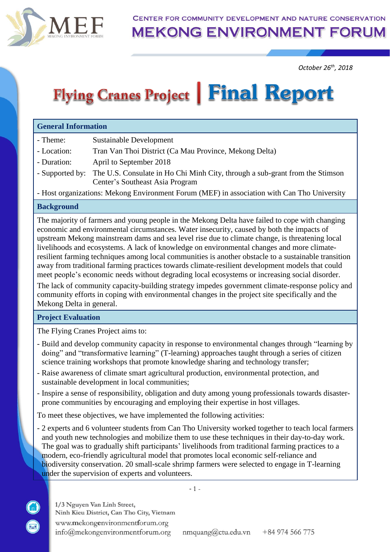

CENTER FOR COMMUNITY DEVELOPMENT AND NATURE CONSERVATION

**MEKONG ENVIRONMENT FORUM** 

*October 26 th, 2018*

# Flying Cranes Project | Final Report

#### **General Information**

- Theme: Sustainable Development
- Location: Tran Van Thoi District (Ca Mau Province, Mekong Delta)
- Duration: April to September 2018
- Supported by: The U.S. Consulate in Ho Chi Minh City, through a sub-grant from the Stimson Center's Southeast Asia Program

- Host organizations: Mekong Environment Forum (MEF) in association with Can Tho University

#### **Background**

The majority of farmers and young people in the Mekong Delta have failed to cope with changing economic and environmental circumstances. Water insecurity, caused by both the impacts of upstream Mekong mainstream dams and sea level rise due to climate change, is threatening local livelihoods and ecosystems. A lack of knowledge on environmental changes and more climateresilient farming techniques among local communities is another obstacle to a sustainable transition away from traditional farming practices towards climate-resilient development models that could meet people's economic needs without degrading local ecosystems or increasing social disorder.

The lack of community capacity-building strategy impedes government climate-response policy and community efforts in coping with environmental changes in the project site specifically and the Mekong Delta in general.

#### **Project Evaluation**

The Flying Cranes Project aims to:

- Build and develop community capacity in response to environmental changes through "learning by doing" and "transformative learning" (T-learning) approaches taught through a series of citizen science training workshops that promote knowledge sharing and technology transfer;
- Raise awareness of climate smart agricultural production, environmental protection, and sustainable development in local communities;
- Inspire a sense of responsibility, obligation and duty among young professionals towards disasterprone communities by encouraging and employing their expertise in host villages.

To meet these objectives, we have implemented the following activities:

- 2 experts and 6 volunteer students from Can Tho University worked together to teach local farmers and youth new technologies and mobilize them to use these techniques in their day-to-day work. The goal was to gradually shift participants' livelihoods from traditional farming practices to a modern, eco-friendly agricultural model that promotes local economic self-reliance and biodiversity conservation. 20 small-scale shrimp farmers were selected to engage in T-learning under the supervision of experts and volunteers.

- 1 -

1/3 Nguyen Van Linh Street, Ninh Kieu District, Can Tho City, Vietnam www.mekongenvironmentforum.org info@mekongenvironmentforum.org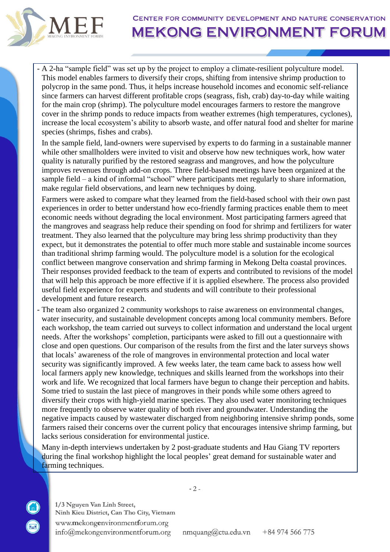

- A 2-ha "sample field" was set up by the project to employ a climate-resilient polyculture model. This model enables farmers to diversify their crops, shifting from intensive shrimp production to polycrop in the same pond. Thus, it helps increase household incomes and economic self-reliance since farmers can harvest different profitable crops (seagrass, fish, crab) day-to-day while waiting for the main crop (shrimp). The polyculture model encourages farmers to restore the mangrove cover in the shrimp ponds to reduce impacts from weather extremes (high temperatures, cyclones), increase the local ecosystem's ability to absorb waste, and offer natural food and shelter for marine species (shrimps, fishes and crabs).

In the sample field, land-owners were supervised by experts to do farming in a sustainable manner while other smallholders were invited to visit and observe how new techniques work, how water quality is naturally purified by the restored seagrass and mangroves, and how the polyculture improves revenues through add-on crops. Three field-based meetings have been organized at the sample field – a kind of informal "school" where participants met regularly to share information, make regular field observations, and learn new techniques by doing.

Farmers were asked to compare what they learned from the field-based school with their own past experiences in order to better understand how eco-friendly farming practices enable them to meet economic needs without degrading the local environment. Most participating farmers agreed that the mangroves and seagrass help reduce their spending on food for shrimp and fertilizers for water treatment. They also learned that the polyculture may bring less shrimp productivity than they expect, but it demonstrates the potential to offer much more stable and sustainable income sources than traditional shrimp farming would. The polyculture model is a solution for the ecological conflict between mangrove conservation and shrimp farming in Mekong Delta coastal provinces. Their responses provided feedback to the team of experts and contributed to revisions of the model that will help this approach be more effective if it is applied elsewhere. The process also provided useful field experience for experts and students and will contribute to their professional development and future research.

- The team also organized 2 community workshops to raise awareness on environmental changes, water insecurity, and sustainable development concepts among local community members. Before each workshop, the team carried out surveys to collect information and understand the local urgent needs. After the workshops' completion, participants were asked to fill out a questionnaire with close and open questions. Our comparison of the results from the first and the later surveys shows that locals' awareness of the role of mangroves in environmental protection and local water security was significantly improved. A few weeks later, the team came back to assess how well local farmers apply new knowledge, techniques and skills learned from the workshops into their work and life. We recognized that local farmers have begun to change their perception and habits. Some tried to sustain the last piece of mangroves in their ponds while some others agreed to diversify their crops with high-yield marine species. They also used water monitoring techniques more frequently to observe water quality of both river and groundwater. Understanding the negative impacts caused by wastewater discharged from neighboring intensive shrimp ponds, some farmers raised their concerns over the current policy that encourages intensive shrimp farming, but lacks serious consideration for environmental justice.

Many in-depth interviews undertaken by 2 post-graduate students and Hau Giang TV reporters during the final workshop highlight the local peoples' great demand for sustainable water and farming techniques.

 $-2-$ 

1/3 Nguyen Van Linh Street, Ninh Kieu District, Can Tho City, Vietnam www.mekongenvironmentforum.org info@mekongenvironmentforum.org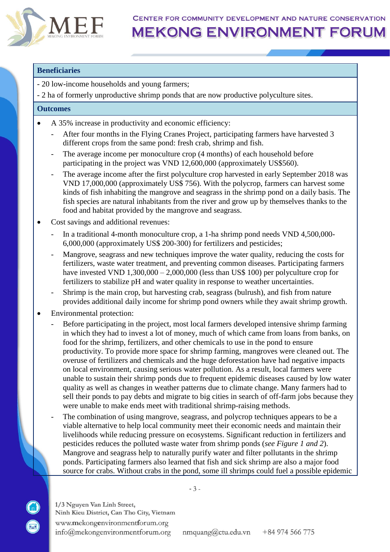

CENTER FOR COMMUNITY DEVELOPMENT AND NATURE CONSERVATION

## **MEKONG ENVIRONMENT FORUM**

#### **Beneficiaries**

- 20 low-income households and young farmers;

- 2 ha of formerly unproductive shrimp ponds that are now productive polyculture sites.

#### **Outcomes**

- A 35% increase in productivity and economic efficiency:
	- After four months in the Flying Cranes Project, participating farmers have harvested 3 different crops from the same pond: fresh crab, shrimp and fish.
	- The average income per monoculture crop (4 months) of each household before participating in the project was VND 12,600,000 (approximately US\$560).
	- The average income after the first polyculture crop harvested in early September 2018 was VND 17,000,000 (approximately US\$ 756). With the polycrop, farmers can harvest some kinds of fish inhabiting the mangrove and seagrass in the shrimp pond on a daily basis. The fish species are natural inhabitants from the river and grow up by themselves thanks to the food and habitat provided by the mangrove and seagrass.
- Cost savings and additional revenues:
	- In a traditional 4-month monoculture crop, a 1-ha shrimp pond needs VND 4,500,000-6,000,000 (approximately US\$ 200-300) for fertilizers and pesticides;
	- Mangrove, seagrass and new techniques improve the water quality, reducing the costs for fertilizers, waste water treatment, and preventing common diseases. Participating farmers have invested VND 1,300,000 – 2,000,000 (less than US\$ 100) per polyculture crop for fertilizers to stabilize pH and water quality in response to weather uncertainties.
	- Shrimp is the main crop, but harvesting crab, seagrass (bulrush), and fish from nature provides additional daily income for shrimp pond owners while they await shrimp growth.
- Environmental protection:
	- Before participating in the project, most local farmers developed intensive shrimp farming in which they had to invest a lot of money, much of which came from loans from banks, on food for the shrimp, fertilizers, and other chemicals to use in the pond to ensure productivity. To provide more space for shrimp farming, mangroves were cleaned out. The overuse of fertilizers and chemicals and the huge deforestation have had negative impacts on local environment, causing serious water pollution. As a result, local farmers were unable to sustain their shrimp ponds due to frequent epidemic diseases caused by low water quality as well as changes in weather patterns due to climate change. Many farmers had to sell their ponds to pay debts and migrate to big cities in search of off-farm jobs because they were unable to make ends meet with traditional shrimp-raising methods.
	- The combination of using mangrove, seagrass, and polycrop techniques appears to be a viable alternative to help local community meet their economic needs and maintain their livelihoods while reducing pressure on ecosystems. Significant reduction in fertilizers and pesticides reduces the polluted waste water from shrimp ponds (*see Figure 1 and 2*). Mangrove and seagrass help to naturally purify water and filter pollutants in the shrimp ponds. Participating farmers also learned that fish and sick shrimp are also a major food source for crabs. Without crabs in the pond, some ill shrimps could fuel a possible epidemic

1/3 Nguyen Van Linh Street, Ninh Kieu District, Can Tho City, Vietnam www.mekongenvironmentforum.org info@mekongenvironmentforum.org

nmquang@ctu.edu.vn +84 974 566 775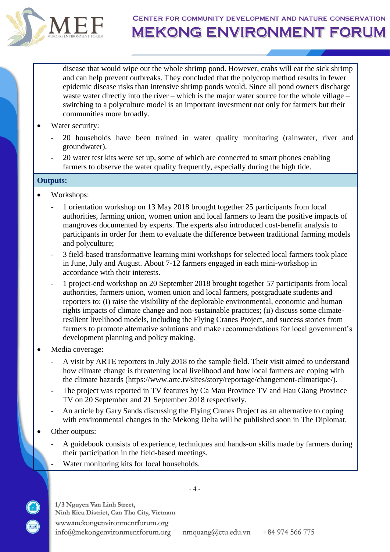

### CENTER FOR COMMUNITY DEVELOPMENT AND NATURE CONSERVATION **MEKONG ENVIRONMENT FORUM**

disease that would wipe out the whole shrimp pond. However, crabs will eat the sick shrimp and can help prevent outbreaks. They concluded that the polycrop method results in fewer epidemic disease risks than intensive shrimp ponds would. Since all pond owners discharge waste water directly into the river – which is the major water source for the whole village – switching to a polyculture model is an important investment not only for farmers but their communities more broadly.

- Water security:
	- 20 households have been trained in water quality monitoring (rainwater, river and groundwater).
	- 20 water test kits were set up, some of which are connected to smart phones enabling farmers to observe the water quality frequently, especially during the high tide.

#### **Outputs:**

- Workshops:
	- 1 orientation workshop on 13 May 2018 brought together 25 participants from local authorities, farming union, women union and local farmers to learn the positive impacts of mangroves documented by experts. The experts also introduced cost-benefit analysis to participants in order for them to evaluate the difference between traditional farming models and polyculture;
	- 3 field-based transformative learning mini workshops for selected local farmers took place in June, July and August. About 7-12 farmers engaged in each mini-workshop in accordance with their interests.
	- 1 project-end workshop on 20 September 2018 brought together 57 participants from local authorities, farmers union, women union and local farmers, postgraduate students and reporters to: (i) raise the visibility of the deplorable environmental, economic and human rights impacts of climate change and non-sustainable practices; (ii) discuss some climateresilient livelihood models, including the Flying Cranes Project, and success stories from farmers to promote alternative solutions and make recommendations for local government's development planning and policy making.
- Media coverage:
	- A visit by ARTE reporters in July 2018 to the sample field. Their visit aimed to understand how climate change is threatening local livelihood and how local farmers are coping with the climate hazards (https://www.arte.tv/sites/story/reportage/changement-climatique/).
	- The project was reported in TV features by Ca Mau Province TV and Hau Giang Province TV on 20 September and 21 September 2018 respectively.
	- An article by Gary Sands discussing the Flying Cranes Project as an alternative to coping with environmental changes in the Mekong Delta will be published soon in The Diplomat.
- Other outputs:
	- A guidebook consists of experience, techniques and hands-on skills made by farmers during their participation in the field-based meetings.
	- Water monitoring kits for local households.

1/3 Nguyen Van Linh Street, Ninh Kieu District, Can Tho City, Vietnam www.mekongenvironmentforum.org info@mekongenvironmentforum.org

 $-4 -$